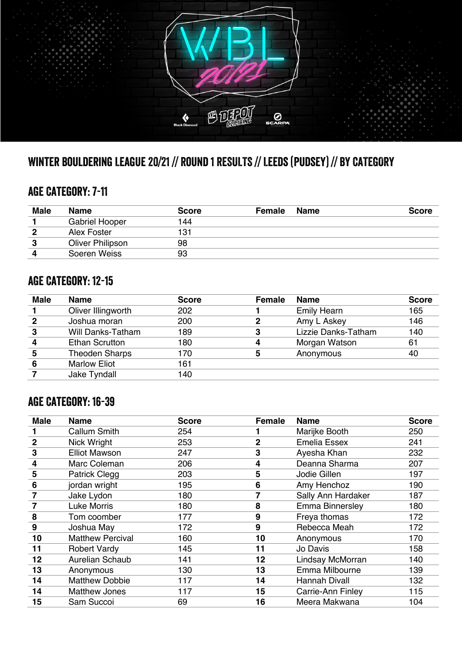

## Winter Bouldering League 20/21 // Round 1 RESULTS // Leeds (Pudsey) // BY CATEGORY

#### AGE Category: 7-11

| <b>Male</b> | <b>Name</b>           | <b>Score</b> | <b>Female</b> | <b>Name</b> | <b>Score</b> |
|-------------|-----------------------|--------------|---------------|-------------|--------------|
|             | <b>Gabriel Hooper</b> | 144          |               |             |              |
| 2           | Alex Foster           | 131          |               |             |              |
| З           | Oliver Philipson      | 98           |               |             |              |
| л           | Soeren Weiss          | 93           |               |             |              |

#### AGE CATEGORY: 12-15

| <b>Male</b> | <b>Name</b>              | <b>Score</b> | <b>Female</b> | <b>Name</b>         | <b>Score</b> |
|-------------|--------------------------|--------------|---------------|---------------------|--------------|
|             | Oliver Illingworth       | 202          |               | <b>Emily Hearn</b>  | 165          |
|             | Joshua moran             | 200          |               | Amy L Askey         | 146          |
|             | <b>Will Danks-Tatham</b> | 189          |               | Lizzie Danks-Tatham | 140          |
|             | <b>Ethan Scrutton</b>    | 180          | 4             | Morgan Watson       | 61           |
|             | <b>Theoden Sharps</b>    | 170          | 5             | Anonymous           | 40           |
| 6           | <b>Marlow Eliot</b>      | 161          |               |                     |              |
|             | Jake Tyndall             | 140          |               |                     |              |

### AGE CATEGORY: 16-39

| <b>Male</b>    | <b>Name</b>             | <b>Score</b> | Female       | <b>Name</b>          | <b>Score</b> |
|----------------|-------------------------|--------------|--------------|----------------------|--------------|
|                | Callum Smith            | 254          |              | Marijke Booth        | 250          |
| $\overline{2}$ | Nick Wright             | 253          | $\mathbf{2}$ | <b>Emelia Essex</b>  | 241          |
| 3              | <b>Elliot Mawson</b>    | 247          | 3            | Ayesha Khan          | 232          |
| 4              | Marc Coleman            | 206          | 4            | Deanna Sharma        | 207          |
| 5              | <b>Patrick Clegg</b>    | 203          | 5            | Jodie Gillen         | 197          |
| 6              | jordan wright           | 195          | 6            | Amy Henchoz          | 190          |
| 7              | Jake Lydon              | 180          | 7            | Sally Ann Hardaker   | 187          |
|                | <b>Luke Morris</b>      | 180          | 8            | Emma Binnersley      | 180          |
| 8              | Tom coomber             | 177          | 9            | Freya thomas         | 172          |
| 9              | Joshua May              | 172          | 9            | Rebecca Meah         | 172          |
| 10             | <b>Matthew Percival</b> | 160          | 10           | Anonymous            | 170          |
| 11             | <b>Robert Vardy</b>     | 145          | 11           | Jo Davis             | 158          |
| 12             | Aurelian Schaub         | 141          | 12           | Lindsay McMorran     | 140          |
| 13             | Anonymous               | 130          | 13           | Emma Milbourne       | 139          |
| 14             | <b>Matthew Dobbie</b>   | 117          | 14           | <b>Hannah Divall</b> | 132          |
| 14             | <b>Matthew Jones</b>    | 117          | 15           | Carrie-Ann Finley    | 115          |
| 15             | Sam Succoi              | 69           | 16           | Meera Makwana        | 104          |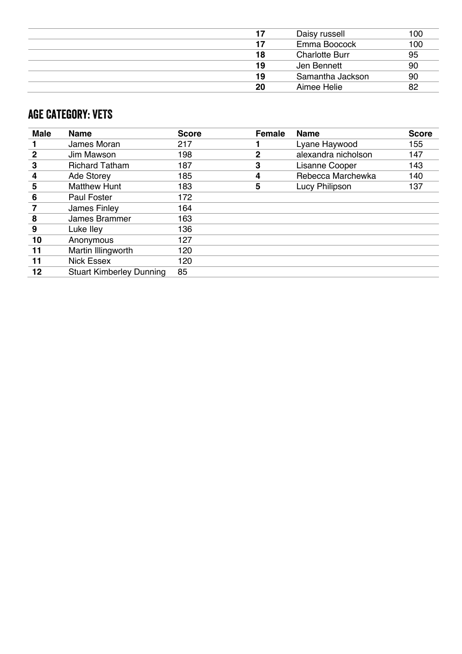| 17 | Daisy russell         | 100 |
|----|-----------------------|-----|
| 17 | Emma Boocock          | 100 |
| 18 | <b>Charlotte Burr</b> | 95  |
| 19 | Jen Bennett           | 90  |
| 19 | Samantha Jackson      | 90  |
| 20 | Aimee Helie           | 82  |

### AGE Category: VETS

| <b>Male</b> | <b>Name</b>                     | <b>Score</b> | <b>Female</b> | <b>Name</b>         | <b>Score</b> |
|-------------|---------------------------------|--------------|---------------|---------------------|--------------|
|             | James Moran                     | 217          |               | Lyane Haywood       | 155          |
| 2           | Jim Mawson                      | 198          | 2             | alexandra nicholson | 147          |
| 3           | <b>Richard Tatham</b>           | 187          | 3             | Lisanne Cooper      | 143          |
| 4           | <b>Ade Storey</b>               | 185          | 4             | Rebecca Marchewka   | 140          |
| 5           | <b>Matthew Hunt</b>             | 183          | 5             | Lucy Philipson      | 137          |
| 6           | <b>Paul Foster</b>              | 172          |               |                     |              |
|             | James Finley                    | 164          |               |                     |              |
| 8           | James Brammer                   | 163          |               |                     |              |
| 9           | Luke Iley                       | 136          |               |                     |              |
| 10          | Anonymous                       | 127          |               |                     |              |
| 11          | Martin Illingworth              | 120          |               |                     |              |
| 11          | Nick Essex                      | 120          |               |                     |              |
| 12          | <b>Stuart Kimberley Dunning</b> | 85           |               |                     |              |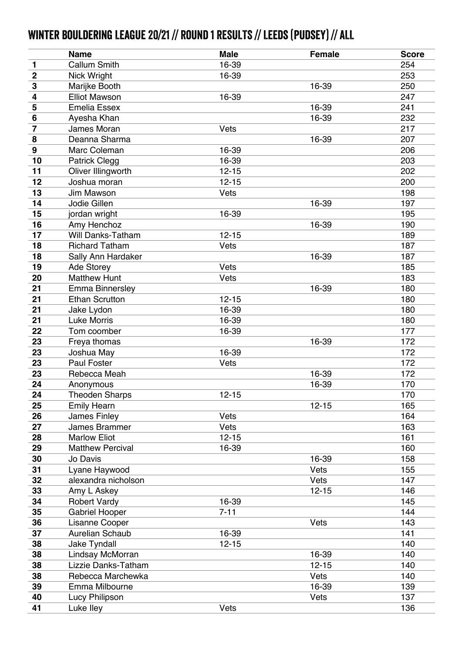# Winter Bouldering League 20/21 // Round 1 RESULTS // Leeds (Pudsey) // ALL

|                         | <b>Name</b>             | <b>Male</b> | <b>Female</b> | <b>Score</b> |
|-------------------------|-------------------------|-------------|---------------|--------------|
| 1                       | <b>Callum Smith</b>     | 16-39       |               | 254          |
| $\mathbf 2$             | Nick Wright             | 16-39       |               | 253          |
| $\overline{\mathbf{3}}$ | Marijke Booth           |             | 16-39         | 250          |
| 4                       | <b>Elliot Mawson</b>    | 16-39       |               | 247          |
| 5                       | <b>Emelia Essex</b>     |             | 16-39         | 241          |
| $6\phantom{1}$          | Ayesha Khan             |             | 16-39         | 232          |
| 7                       | James Moran             | Vets        |               | 217          |
| 8                       | Deanna Sharma           |             | 16-39         | 207          |
| $\boldsymbol{9}$        | Marc Coleman            | 16-39       |               | 206          |
| 10                      | <b>Patrick Clegg</b>    | 16-39       |               | 203          |
| 11                      | Oliver Illingworth      | $12 - 15$   |               | 202          |
| 12                      | Joshua moran            | $12 - 15$   |               | 200          |
| 13                      | Jim Mawson              | Vets        |               | 198          |
| 14                      | Jodie Gillen            |             | 16-39         | 197          |
| 15                      | jordan wright           | 16-39       |               | 195          |
| 16                      | Amy Henchoz             |             | 16-39         | 190          |
| 17                      | Will Danks-Tatham       | $12 - 15$   |               | 189          |
| 18                      | <b>Richard Tatham</b>   | Vets        |               | 187          |
| 18                      | Sally Ann Hardaker      |             | 16-39         | 187          |
| 19                      | Ade Storey              | Vets        |               | 185          |
| 20                      | <b>Matthew Hunt</b>     | Vets        |               | 183          |
| 21                      | <b>Emma Binnersley</b>  |             | 16-39         | 180          |
| 21                      | <b>Ethan Scrutton</b>   | $12 - 15$   |               | 180          |
| 21                      | Jake Lydon              | 16-39       |               | 180          |
| 21                      | <b>Luke Morris</b>      | 16-39       |               | 180          |
| 22                      | Tom coomber             | 16-39       |               | 177          |
| 23                      | Freya thomas            |             | 16-39         | 172          |
| 23                      | Joshua May              | 16-39       |               | 172          |
| 23                      | <b>Paul Foster</b>      | Vets        |               | 172          |
| 23                      | Rebecca Meah            |             | 16-39         | 172          |
| 24                      | Anonymous               |             | 16-39         | 170          |
| 24                      | <b>Theoden Sharps</b>   | $12 - 15$   |               | 170          |
| 25                      | <b>Emily Hearn</b>      |             | $12 - 15$     | 165          |
| 26                      | James Finley            | Vets        |               | 164          |
| 27                      | James Brammer           | Vets        |               | 163          |
| 28                      | <b>Marlow Eliot</b>     | $12 - 15$   |               | 161          |
| 29                      | <b>Matthew Percival</b> | 16-39       |               | 160          |
| 30                      | Jo Davis                |             | 16-39         | 158          |
| 31                      | Lyane Haywood           |             | Vets          | 155          |
| 32                      | alexandra nicholson     |             | Vets          | 147          |
| 33                      | Amy L Askey             |             | $12 - 15$     | 146          |
| 34                      | <b>Robert Vardy</b>     | 16-39       |               | 145          |
| 35                      | <b>Gabriel Hooper</b>   | $7 - 11$    |               | 144          |
| 36                      | Lisanne Cooper          |             | Vets          | 143          |
| 37                      | <b>Aurelian Schaub</b>  | 16-39       |               | 141          |
| 38                      | Jake Tyndall            | $12 - 15$   |               | 140          |
| 38                      | Lindsay McMorran        |             | 16-39         | 140          |
| 38                      | Lizzie Danks-Tatham     |             | $12 - 15$     | 140          |
| 38                      | Rebecca Marchewka       |             | Vets          | 140          |
| 39                      | Emma Milbourne          |             | 16-39         | 139          |
| 40                      | Lucy Philipson          |             | Vets          | 137          |
| 41                      | Luke lley               | Vets        |               | 136          |